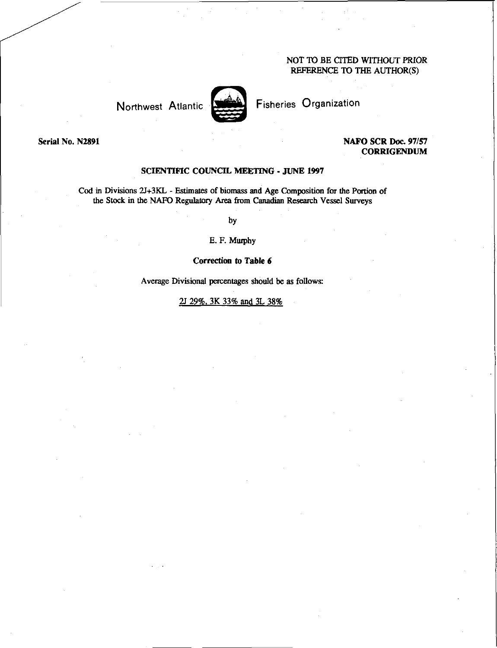## NOT TO BE CITED WITHOUT PRIOR REFERENCE TO THE AUTHOR(S)



Fisheries Organization

Northwest Atlantic

## Serial No. N2891 **NAFO** SCR Doc. 97/57 **CORRIGENDUM**

## SCIENTIFIC COUNCIL MEETING - JUNE 1997

Cod in Divisions 2J+3ICL - Estimates of biomass and Age Composition for the Portion of the Stock in the NAFO Regulatory Area from Canadian Research Vessel Surveys

by

## E. F. Murphy

**Correction to Table 6** 

Average Divisional percentages should be as follows:

2J 29%, 3K 33% and 3L 38%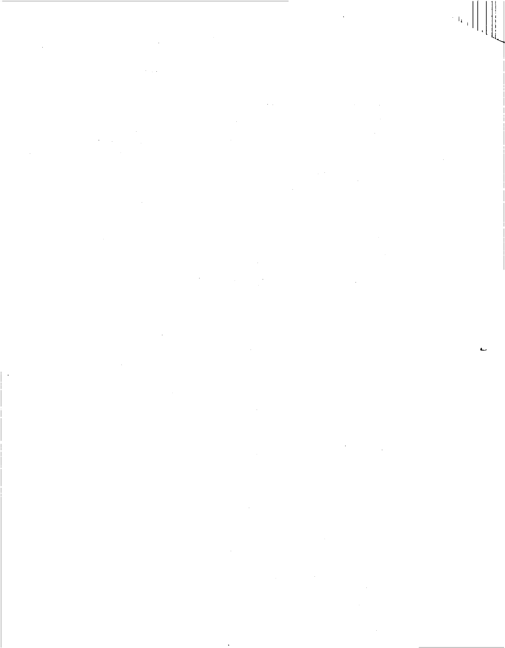$\label{eq:2.1} \mathcal{L}(\mathcal{L}^{\text{max}}_{\text{max}}(\mathcal{L}^{\text{max}}_{\text{max}}(\mathcal{L}^{\text{max}}_{\text{max}}(\mathcal{L}^{\text{max}}_{\text{max}}(\mathcal{L}^{\text{max}}_{\text{max}})))$ 

 $\label{eq:2} \frac{1}{2} \sum_{i=1}^n \frac{1}{2} \sum_{j=1}^n \frac{1}{2} \sum_{j=1}^n \frac{1}{2} \sum_{j=1}^n \frac{1}{2} \sum_{j=1}^n \frac{1}{2} \sum_{j=1}^n \frac{1}{2} \sum_{j=1}^n \frac{1}{2} \sum_{j=1}^n \frac{1}{2} \sum_{j=1}^n \frac{1}{2} \sum_{j=1}^n \frac{1}{2} \sum_{j=1}^n \frac{1}{2} \sum_{j=1}^n \frac{1}{2} \sum_{j=1}^n \frac{1}{$  $\label{eq:2.1} \mathcal{L}(\mathcal{L}^{\text{max}}_{\mathcal{L}}(\mathcal{L}^{\text{max}}_{\mathcal{L}})) \leq \mathcal{L}(\mathcal{L}^{\text{max}}_{\mathcal{L}}(\mathcal{L}^{\text{max}}_{\mathcal{L}}))$ 

 $\mathcal{O}(\mathcal{E})$ 

 $\left\| \mathbf{u}_0 \right\| = \left\| \mathbf{u}_0 \right\| = \left\| \mathbf{u}_0 \right\| = \left\| \mathbf{u}_0 \right\| = \left\| \mathbf{u}_0 \right\| = \left\| \mathbf{u}_0 \right\| = \left\| \mathbf{u}_0 \right\| = \left\| \mathbf{u}_0 \right\| = \left\| \mathbf{u}_0 \right\| = \left\| \mathbf{u}_0 \right\| = \left\| \mathbf{u}_0 \right\| = \left\| \mathbf{u}_0 \right\| = \left\| \mathbf{u}_0 \right\| = \left\| \mathbf{u}_0 \$ 

 $\label{eq:2.1} \begin{split} \mathcal{L}_{\text{max}}(\mathbf{r},\mathbf{r}) = \mathcal{L}_{\text{max}}(\mathbf{r},\mathbf{r}) \mathcal{L}_{\text{max}}(\mathbf{r},\mathbf{r}) \mathcal{L}_{\text{max}}(\mathbf{r},\mathbf{r}) \mathcal{L}_{\text{max}}(\mathbf{r},\mathbf{r}) \mathcal{L}_{\text{max}}(\mathbf{r},\mathbf{r},\mathbf{r}) \mathcal{L}_{\text{max}}(\mathbf{r},\mathbf{r},\mathbf{r}) \mathcal{L}_{\text{max}}(\mathbf{r},\mathbf{r},\mathbf{r},\mathbf$ 

 $\label{eq:2.1} \mathcal{L}(\mathcal{L}^{\text{max}}_{\mathcal{L}}(\mathcal{L}^{\text{max}}_{\mathcal{L}}(\mathcal{L}^{\text{max}}_{\mathcal{L}}(\mathcal{L}^{\text{max}}_{\mathcal{L}^{\text{max}}_{\mathcal{L}}(\mathcal{L}^{\text{max}}_{\mathcal{L}^{\text{max}}_{\mathcal{L}^{\text{max}}_{\mathcal{L}^{\text{max}}_{\mathcal{L}^{\text{max}}_{\mathcal{L}^{\text{max}}_{\mathcal{L}^{\text{max}}_{\mathcal{L}^{\text{max}}_{\mathcal{L}^{\text{max}}$ 

 $\label{eq:2.1} \frac{1}{2} \int_{\mathbb{R}^3} \frac{1}{\sqrt{2\pi}} \int_{\mathbb{R}^3} \frac{1}{\sqrt{2\pi}} \int_{\mathbb{R}^3} \frac{1}{\sqrt{2\pi}} \int_{\mathbb{R}^3} \frac{1}{\sqrt{2\pi}} \int_{\mathbb{R}^3} \frac{1}{\sqrt{2\pi}} \int_{\mathbb{R}^3} \frac{1}{\sqrt{2\pi}} \int_{\mathbb{R}^3} \frac{1}{\sqrt{2\pi}} \int_{\mathbb{R}^3} \frac{1}{\sqrt{2\pi}} \int_{\mathbb{R}^3}$ 

 $\label{eq:2.1} \frac{1}{\sqrt{2}}\left(\frac{1}{\sqrt{2}}\right)^{2} \left(\frac{1}{\sqrt{2}}\right)^{2} \left(\frac{1}{\sqrt{2}}\right)^{2} \left(\frac{1}{\sqrt{2}}\right)^{2} \left(\frac{1}{\sqrt{2}}\right)^{2} \left(\frac{1}{\sqrt{2}}\right)^{2} \left(\frac{1}{\sqrt{2}}\right)^{2} \left(\frac{1}{\sqrt{2}}\right)^{2} \left(\frac{1}{\sqrt{2}}\right)^{2} \left(\frac{1}{\sqrt{2}}\right)^{2} \left(\frac{1}{\sqrt{2}}\right)^{2} \left(\$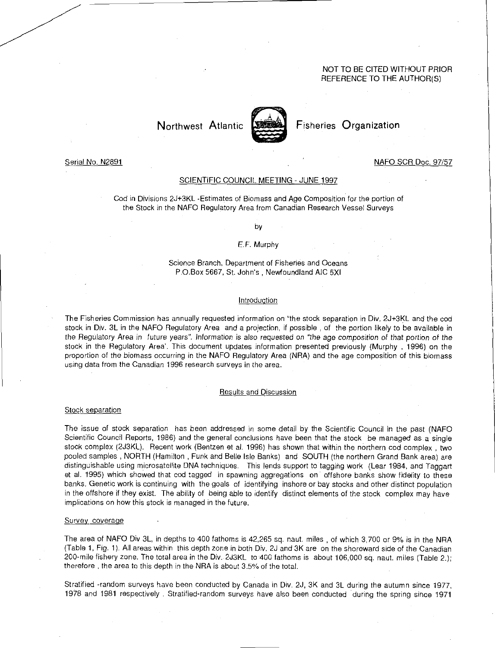## NOT TO BE CITED WITHOUT PRIOR REFERENCE TO THE AUTHOR(S)

# Northwest Atlantic Fisheries Organization



#### Serial No. N2891 No. N2891 NAFO SCR Doc. 97/57

### SCIENTIFIC COUNCIL MEETING - JUNE 1997

Cod in Divisions 2J+3KL -Estimates of Biomass and Age Composition for the portion of the Stock in the NAFO Regulatory Area from Canadian Research Vessel Surveys

#### by

#### E.F. Murphy

Science Branch, Department of Fisheries and Oceans P.O.Box 5667, St. John's , Newfoundland AIC 5X1

#### Introduction

The Fisheries Commission has annually requested information on "the stock separation in Div. 2J+3KL and the cod stock in Div. 3L in the NAFO Regulatory Area and a projection, if possible , of the portion likely to be available in the Regulatory Area in future years". Information is also requested on "the age composition of that portion of *the*  stock in the Regulatory Area'. This document updates information presented previously (Murphy , 1996) on the proportion of the biomass occurring in the NAFO Regulatory Area (NRA) and the age composition of this biomass using data from the Canadian 1996 research surveys in the area.

#### Results and Discussion

#### Stock separation

The issue of stock separation has been addressed in some detail by the Scientific Council in the past (NAFO Scientific Council Reports, 1986) and the general conclusions have been that the stock be managed as a single stock complex (2J3KL). Recent work (Bentzen et al. 1996) has shown that within the northern cod complex , two pooled samples , NORTH (Hamilton , Funk and Belle Isle Banks) and SOUTH (the northern Grand Bank area) are distinguishable using microsatellite DNA techniques. This lends support to tagging work (Lear 1984, and Taggart et al. 1995) which showed that cod tagged in spawning aggregations on offshore banks show fidelity to these banks. Genetic work is continuing with the goals of identifying inshore or bay stocks and other distinct population in the offshore if they exist. The ability of being able to identify distinct elements of the stock complex may have implications on how this stock is managed in the future.

#### Survey coverage

The area of NAFO Div 3L, in depths to 400 fathoms is 42,265 sq. naut. miles , of which 3,700 or 9% is in the NRA (Table 1, Fig. 1). All areas within this depth zone in both Div. 2J and 3K are on the shoreward side of the Canadian 200-mile fishery zone. The total area in the Div. 2J3KL to 400 fathoms is about 106,000 sq. naut. miles (Table 2.); therefore , the area to this depth in the NRA is about 3.5% of the total.

Stratified -random surveys have been conducted by Canada in Div. 2J, 3K and 3L during the autumn since 1977, 1978 and 1981 respectively . Stratified-random surveys have also been conducted during the spring since 1971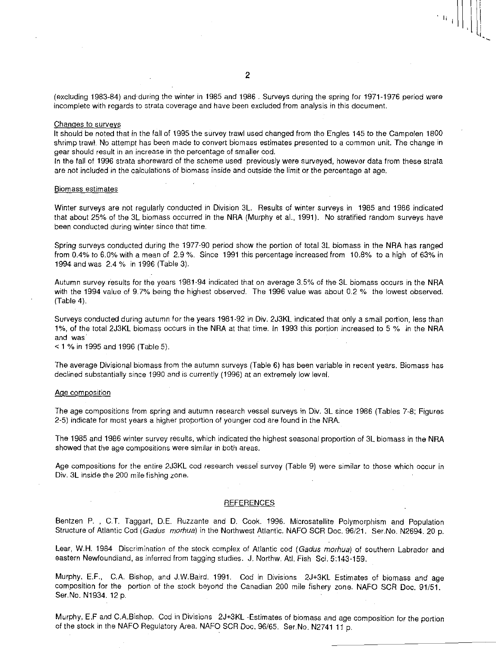(excluding 1983-84) and•during the winter in 1985 and 1986. Surveys during the spring for 1971-1976 period were incomplete with regards to strata coverage and have been excluded from analysis in this document.

#### Changes to surveys

It should be noted that in the fall of 1995 the survey trawl used changed from the Engles 145 to the Campelen 1800 shrimp trawl. No attempt has been made to convert biomass estimates presented to a common unit. The change in gear should result in an increase in the percentage of smaller cod.

In the fall of 1996 strata shoreward of the scheme used previously were surveyed, however data from these strata are not included in the calculations of biomass inside and outside the limit or the percentage at age.

#### Biomass estimates

Winter surveys are not regularly conducted in Division 3L. Results of winter surveys in 1985 and 1986 indicated that about 25% of the 3L biomass occurred in the NRA (Murphy et al., 1991). No stratified random surveys have been conducted during winter since that time.

Spring surveys conducted during the 1977-90 period show the portion of total 3L biomass in the NRA has ranged from 0.4% to 6.0% with a mean of 2.9 %. Since 1991 this percentage increased from 10.8% to a high of 63% in 1994 and was 2.4 % in 1996 (Table 3).

Autumn survey results for the years 1981-94 indicated that on average 3.5% of the 3L biomass occurs in the NRA with the 1994 value of 9.7% being the highest observed. The 1996 value was about 0.2 % the lowest observed. (Table 4).

Surveys conducted during autumn for the years 1981-92 in Div. 2J3KL indicated that only a small portion, less than 1%, of the total 2J3KL biomass occurs in the NRA at that time. In 1993 this portion increased to 5 % in the NRA and was

< 1 % in 1995 and 1996 (Table 5).

The average Divisional biomass from the autumn surveys (Table 6) has been variable in recent years. Biomass has declined substantially since 1990 and is currently (1996) at an extremely low level.

#### Aqe composition

The age compositions from spring and autumn research vessel surveys in Div. 3L since 1986 (Tables 7-8; Figures 2-5) indicate for most years a higher proportion of younger cod are found in the NRA.

The 1985 and 1986 winter survey results, which indicated the highest seasonal proportion of 3L biomass in the NRA showed that the age compositions were similar in both areas.

Age compositions for the entire 2J3KL cod research vessel survey (Table 9) were similar to those which occur in Div. 3L inside the 200 mile fishing zone.

#### **REFERENCES**

Bentzen P. , C.T. Taggart, D.E. Ruzzante and D. Cook. 1996. Microsatellite Polymorphism and Population Structure of Atlantic Cod *(Gadus morhua)* in the Northwest Atlantic. NAFO SCR Doc. 96/21. Ser.No. N2694. 20 p.

Lear, W.H. 1984 Discrimination of the stock complex of Atlantic cod *(Gadus morhua)* of southern Labrador and eastern Newfoundland, as inferred from tagging studies. J. Northw. Atl. Fish Sci. 5:143-159.

Murphy, E.F., C.A. Bishop, and J.W.Baird. 1991. Cod in Divisions 2J+3KL Estimates of biomass and age composition for the portion of the stock beyond the Canadian 200 mile fishery zone. NAFO SCR Doc. 91/51. Ser.No. N1934. 12 p.

Murphy, E.F and C.A.Bishop. Cod in Divisions 2J+3KL -Estimates of biomass and age composition for the portion of the stock in the NAFO Regulatory Area. NAFO SCR Doc. 96/65. Ser.No. N2741 11 p.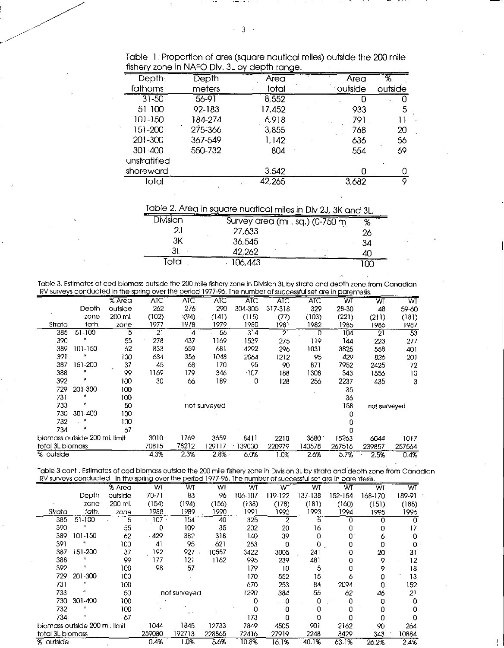| Depth $\cdot$ | Depth   | Area   | Area    | ⅋       |
|---------------|---------|--------|---------|---------|
| fathoms       | meters  | total  | outside | outside |
| $31 - 50$     | 56-91   | 8,552  | U       |         |
| 51-100        | 92-183  | 17,452 | 933     | 5       |
| 101-150       | 184-274 | 6,918  | . 791 . | 11      |
| 151-200       | 275-366 | 3,855  | 768     | 20      |
| 201-300       | 367-549 | 1,142  | 636     | 56      |
| 301-400       | 550-732 | 804    | 554     | 69      |
| unstratified  |         |        |         |         |
| shoreward     |         | 3,542  |         |         |
| total         |         | 42,265 | 3,682   | Q       |
|               |         |        |         |         |

Table 1. Proportion of area (square nautical miles) outside the 200 mile fishery zone in NAFO Div. 3L by depth range.

Table 2. Area in square nuatical miles in Div 2J, 3K and 3L.

| <b>Division</b> | Survey area (mi. sq.) (0-750 m |     |
|-----------------|--------------------------------|-----|
| 21              | 27,633                         | 26  |
| ЗK              | 36,545                         | 34  |
|                 | 42,262                         | 40  |
| Total           | 106.443                        | lOC |

Table 3. Estimates of cod biomass outside the 200 mile fishery zone In Division 3L by strata and depth zone from Canadian RV surveys conducted In the spring over the period 1977-96.The number of successful set are In parentesls. "

|                               |                          |         |       |            |              |            |            |            | ------- |              |        |
|-------------------------------|--------------------------|---------|-------|------------|--------------|------------|------------|------------|---------|--------------|--------|
|                               |                          | % Area  | ATC   | <u>ATC</u> | <b>ATC</b>   | <b>ATC</b> | <b>ATC</b> | <b>ATC</b> | wτ      | WТ           | WТ     |
|                               | Depth                    | outside | 262   | 276        | 290          | 304-305    | 317-318    | 329        | $28-30$ | 48           | 59-60  |
|                               | zone                     | 200 mi. | (102) | (94)       | (141)        | (115)      | (77)       | (103)      | (221)   | (211)        | (181)  |
| Strata                        | foth.                    | zone    | 1977  | 1978       | 1979         | 1980       | 1981       | 1982       | 1985    | 1986         | 1987   |
| 385                           | $51-100$                 | 5       | 21    | 4          | 56           | 314        | 21         | 0          | 104     | 21           | 53     |
| 390                           | ø                        | 55      | 278   | 437        | 1169         | 1539       | 275        | 119        | 144     | 223          | 277    |
| 389                           | 101-150                  | 62      | 833   | 659        | 681          | 4292       | 296        | 1031       | 3825    | 558          | 401    |
| 391                           | w                        | 100     | 634   | 356        | 1048         | 2064       | 1212       | 95         | 429     | 826          | 201    |
| 387                           | 151-200                  | 37      | 45    | 68         | 170          | 95         | 90         | 871        | 7952    | 2425         | 72     |
| 388                           | N                        | 99      | 1169  | 179        | 346          | $-107$     | 188        | 1308       | 343     | 1556         | 10     |
| 392                           | H                        | 100     | 30    | 66         | 189          | 0          | 128        | 256        | 2237    | 435          | 3      |
| 729                           | 201-300                  | 100     |       |            |              |            |            |            | 35      |              |        |
| 731                           | π                        | 100     |       |            |              |            |            |            | 36      |              |        |
| 733                           | π                        | 50      |       |            | not surveyed |            |            |            | 158     | not surveyed |        |
| 730                           | 301-400                  | 100     |       |            |              |            |            |            | 0       |              |        |
| 732                           | Ħ<br>$\mathcal{L}^{\pm}$ | 100     |       |            |              |            |            |            | Ω       |              |        |
| 734                           | Ħ                        | 67      |       |            |              |            |            |            | 0       |              |        |
| biomass outside 200 mi. limit |                          |         | 3010  | 1769       | 3659         | 8411       | 2210       | 3680       | 15263   | 6044         | 1017   |
| total 3L biomass              |                          |         | 70815 | 78212      | 129117       | 139030     | 220979     | 140578     | 267516  | 239857       | 257564 |
| % outside                     |                          |         | 4.3%  | 2.3%       | 2.8%         | 6.0%       | 1.0%       | 2.6%       | 5.7%    | 2.5%         | 0.4%   |

Table 3 cont . Estimates of cod biomass outside the 200 mile fishery zone in Division 3L by strata and depth zone from Canadian RV surveys conducted in the spring over the period 1977-96. The number of successful set are in parentesls.

|                  | RV SURVEYS CONQUCTED. IT LITTLE SPILLIQ OVER BJE DEINOG TY77-YO. THE HUITIDER OF SUCCESSIVE SET GREIFIT DOIENTESIS, |         |         |              |        |         |         |         |         |         |        |  |
|------------------|---------------------------------------------------------------------------------------------------------------------|---------|---------|--------------|--------|---------|---------|---------|---------|---------|--------|--|
|                  |                                                                                                                     | % Area  | WT      | wт           | WТ     | WТ      | WT      | WI      | ŴТ      | WT      | WТ     |  |
|                  | Depth                                                                                                               | outside | 70-71   | 83           | 96     | 106-107 | 119-122 | 137-138 | 152-154 | 168-170 | 189-91 |  |
|                  | zone                                                                                                                | 200 mi. | (154)   | (194)        | (156)  | (138)   | (178)   | (181)   | (160)   | (151)   | (188)  |  |
| Strata           | fath.                                                                                                               | zone    | 1988    | 1989         | 1990   | 1991    | 1992    | 1993    | 1994    | 1995    | 1996   |  |
| 385              | 51-100                                                                                                              | 5       | $107 -$ | 154          | 40     | 325     |         | 5       | ი       | 0       |        |  |
| 390              |                                                                                                                     | 55      | 0       | 109          | 35     | 202     | 20      | 16      |         | o       | 17     |  |
| 389              | 101-150                                                                                                             | 62      | 429     | 382          | 318    | 140     | 39      | O       |         | ∩       | D      |  |
| 391              |                                                                                                                     | 100     | 41      | 95           | 621    | 283     |         | 0       | n       |         | Ω      |  |
| 387              | 151-200                                                                                                             | 37      | 192     | 927 -        | 10557  | 3422    | 3005    | 241     | o       | 20      | 31     |  |
| 388              |                                                                                                                     | 99      | 177     | 121          | 1162   | 995     | 239     | 481     |         | 9       | 12     |  |
| 392              |                                                                                                                     | 100     | 98      | 57           |        | 179     | 10      | 5       |         | 9       | 18     |  |
| 729              | 201-300                                                                                                             | 100     |         |              |        | 170     | 552     | 15      |         |         | 13     |  |
| 731              |                                                                                                                     | 100     |         |              |        | 670     | 253     | 84      | 2094    |         | 152    |  |
| 733              | u                                                                                                                   | 50      |         | not surveyed |        | 1290    | 384     | 55      | 62      | 46      | 21     |  |
| 730.             | 301-400                                                                                                             | 100     |         |              |        |         | 0       | O       | 0       | Ω       | n      |  |
| 732              |                                                                                                                     | 100     |         |              |        |         |         |         |         |         |        |  |
| 734              | u                                                                                                                   | 67      |         |              |        | 173     |         |         |         |         |        |  |
|                  | biomass outside 200 mi, limit                                                                                       |         | 1044    | 1845         | 12733  | 7849    | 4505    | 901     | 2162    | 90      | 264    |  |
| total 3L biomass |                                                                                                                     |         | 259080  | 192713       | 228865 | 72416   | 27919   | 2248    | 3429    | 343     | 10884  |  |
| % outside        |                                                                                                                     |         | 0.4%    | l 0%         | 5.6%   | 10.8%   | 16.1%   | 40.1%   | 63.1%   | 26.2%   | 2.4%   |  |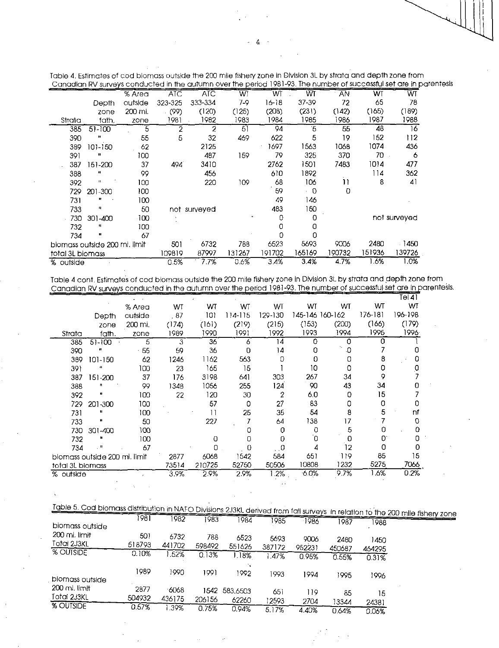Table 4. Estimates of cod blomass outside the 200 mile fishery zone In Division 3L by strata and depth zone from Canadian RV surveys conducted in the autumn over the period 1981-93. The number of successful set are in parentesis

|                               |         | % Area  | <b>ATC</b> | <b>ATC</b> | WТ     | WТ     | WТ        | AN     | WТ     | WТ           |
|-------------------------------|---------|---------|------------|------------|--------|--------|-----------|--------|--------|--------------|
|                               | Depth   | outside | 323-325    | 333-334    | 7-9    | 16-18  | 37-39     | 72     | 65     | 78           |
|                               | zone    | 200 mi. | - (99)     | (120)      | (125)  | (208)  | (231)     | (142)  | (165)  | (189)        |
| Strata                        | fath.   | zone    | 1981       | 1982       | 1983   | 1984   | 1985      | 1986   | 1987   | 1988         |
| 385                           | 51-100  | 5       | 2          | 2          | 51     | 94     | 15        | 55     | 48     | 16           |
| 390                           | и       | 55      | 5          | 32         | 469    | 622    | 5         | 19     | 152    | 112          |
| 389                           | 101-150 | 62      |            | 2125       |        | 1697   | 1563      | 1068   | 1074   | 436          |
| 391                           | ш       | 100     |            | 487        | 159    | 79     | 325       | 370    | 70     | 6            |
| 387                           | 151-200 | 37      | 494        | 3410       |        | 2762   | 1501      | 7483   | 1014   | 477          |
| 388                           |         | 99      |            | 456        |        | 610    | 1892      |        | 114    | 362          |
| 392                           | п       | 100     |            | 220        | 109    | 68     | 106       | 11     | 8      | 41           |
| 729                           | 201-300 | 100     |            |            |        | 59     | $\cdot$ 0 | Ð      |        |              |
| 731                           | н       | 100     |            |            |        | 49     | 146       |        |        |              |
| 733                           | И       | 50      | noti       | surveyed   |        | 483    | 150       |        |        |              |
| 730                           | 301-400 | ା 00    |            |            |        | Ω      | O         |        |        | not surveyed |
| 732                           | 11      | 100     |            |            |        | Ω      | 0         |        |        |              |
| 734                           | ш       | 67      |            |            |        | 0      |           |        |        |              |
| biomass outside 200 mi. limit |         |         | 501        | 6732       | 788    | 6523   | 5693      | 9006   | 2480   | - 1450       |
| total 3L biomass              |         |         | 109819     | 87997      | 131267 | 191702 | 165169    | 190732 | 151936 | 139726       |
| % outside                     |         |         | 0.5%       | 7.7%       | 0.6%   | 3.4%   | 3.4%      | 4.7%   | 1.6%   | 1.0%         |

Table 4 cont. Estimates of cod biomass outside the 200 mile fishery zone in Division 3t. by strata and depth zone from Canadian RV surveys conducted in the autumn over the period 1981-93. The number of successful set are in parentesis

|                  |                               |         |       |        |         |         |                 |       |         | Tel 41  |
|------------------|-------------------------------|---------|-------|--------|---------|---------|-----------------|-------|---------|---------|
|                  |                               | % Area  | Wī    | WT     | w       | WТ      | WT              | WT    | wт      | WΤ      |
|                  | Depth                         | outside | . 87  | וסו    | 114-115 | 129-130 | 145-146 160-162 |       | 176-181 | 196-198 |
|                  | zone                          | 200 mi. | (174) | (161)  | (219)   | (215)   | (153)           | (200) | (166)   | (179)   |
| Strata           | fath.                         | zone    | 1989  | 1990   | 1991    | 1992    | 1993            | 1994  | 1995    | 1996.   |
| 385              | 51-100                        | 5       | 3     | 36     | 6       | 14      | Ω               | O     | Ω       |         |
| 390              | 61                            | $-55$   | 59    | 36     | O       | 14      | Ω               | .n    |         |         |
| 389              | 101-150                       | 62      | 1246  | 1162   | 563     | Ω       | 0               |       |         | 0       |
| 391              |                               | 100     | 23    | 165    | 15      |         | 10              |       |         | Ω       |
| 387              | 151-200                       | 37      | 176   | 3198   | 641     | 303     | 267             | 34    | 9       |         |
| 388              | Ħ                             | 99      | 1348  | 1056   | 255     | 124     | 90              | 43    | 34      |         |
| 392              | $\blacksquare$                | 100     | 22    | 120    | 30      | 2       | 6.0             | Ð     | 15      |         |
| 729              | 201-300                       | 100     |       | -57    | Ω       | 27      | 83              |       |         |         |
| 731              |                               | 100     |       | ו ו    | 25      | 35      | 54              | 8     | 5       | nf      |
| 733              | п                             | 50      |       | 227    |         | 64      | 138             | 17    |         | Ω       |
| 730              | 301-400                       | 100     |       |        |         | Ω       | 0               | 5     |         | 0       |
| 732              |                               | 100     |       |        |         |         | Ō               | Ω     | Đ       |         |
| 734              | $\ddot{\phantom{1}}$          | 67      |       |        | Ω       | . .0    |                 | 12    |         |         |
|                  | biomass outside 200 ml. limit |         | 2877  | 6068   | 1542    | 584     | 651             | 119   | 85      | 15      |
| total 3L biomass |                               |         | 73514 | 210725 | 52750   | 50506   | 10808           | 1232  | 5275    | 7066    |
| % outsiae        |                               |         | 3.9%  | 2.9%   | 2.9%    | 2%      | $-6.0%$         | 9.7%  | 1.6%    | 0.2%    |
|                  |                               |         |       |        |         |         |                 |       |         |         |

Table 5. Cod biomass distribution in NATO Divisions 2J3KL derived from fall surveys In relation to the 200 mile fishery zone

|                              | 1981          | 1982           | 1983   |                   |        |        |        |        |  |
|------------------------------|---------------|----------------|--------|-------------------|--------|--------|--------|--------|--|
| biomass outside              |               |                |        | $198\overline{4}$ | 1985   | 1986   | 1987   | 1988   |  |
| 200 mi. limit<br>Total 2J3KL | 501<br>518793 | 6732<br>441702 | 788    | 6523              | 5693   | 9006   | 2480   | 1450   |  |
|                              |               |                | 598492 | 551626            | 387172 | 952231 | 450687 | 464295 |  |
| % OUTSIDE                    | 0.10%         | .52%           | 0.13%  | l.18%             | 1.47%  | 0.95%  | 0.55%  | 0.31%  |  |
| biomass outside              | 1989          | 1990           | 1991   | 1992              | 1993   | 1994   | 1995   | 1996   |  |
| 200 ml. limit                | 2877          | 6068           | 1542.  | 583,6503          | 651    | 119    | 85     | 15     |  |
| Total 2J3KL                  | 504932        | 436175         | 206156 | 62260             | 12593  | 2704   | 13344  | 24381  |  |
| % OUTSIDE                    | 0.57%         | .39%           | 0.75%  | 0,94%             |        |        |        |        |  |
|                              |               |                |        |                   | 5.17%  | 4.40%  | 0 64%  | 0.06%  |  |

 $-4 -$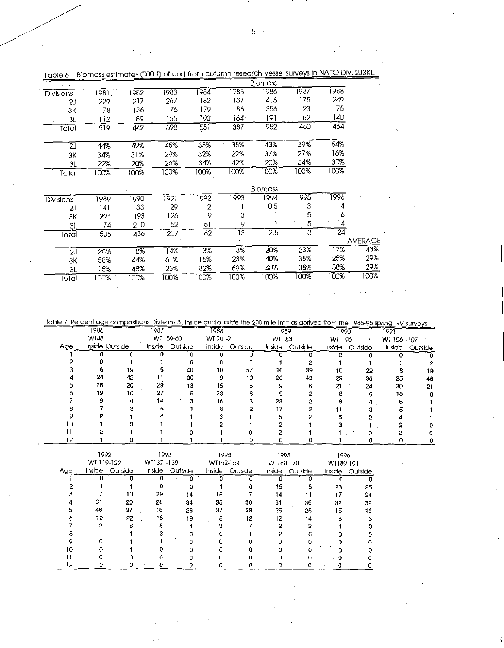|                  | ODIO 6. BIOTHUSS ESHIHUI ES (UUU T) UI COU HUI II QUI UN III TOSSOLUT VOSSOLUT VOSSOLUT VII |                    |           |                |                  |                |      |      |                |
|------------------|---------------------------------------------------------------------------------------------|--------------------|-----------|----------------|------------------|----------------|------|------|----------------|
|                  |                                                                                             |                    |           |                |                  | Biomass        |      |      |                |
| <b>Divisions</b> | 1981.                                                                                       | 1982               | 1983      | 1984           | 1985             | 1986           | 1987 | 988  |                |
| 2J               | 229                                                                                         | 217                | 267       | 182            | 137              | 405            | 175  | 249. |                |
| 3K               | 178                                                                                         | 136                | 176       | 179            | 86               | 356            | 123  | 75   |                |
| 3L               | 112                                                                                         | 89                 | 155       | 190            | 164 <sup>.</sup> | 191            | 152  | 140  |                |
| Total            | 519                                                                                         | 442                | 598       | 551            | 387              | 952            | 450  | 464  |                |
| $\overline{2J}$  | 44%                                                                                         | 49%                | 45%       | 33%            | 35%              | 43%            | 39%  | 54%  |                |
| ЗΚ               | 34%                                                                                         | 31%                | 29%       | 32%            | 22%              | 37%            | 27%  | 16%  |                |
| ЗL               | 22%                                                                                         | 20%                | 26%       | 34%            | 42%              | 20%            | 34%  | 30%  |                |
| Total            | 100%                                                                                        | $\overline{100\%}$ | $100\%$ . | 100%           | 100%             | 100%           | 100% | 100% |                |
|                  |                                                                                             |                    |           |                |                  | <b>Biomass</b> |      |      |                |
| <b>Divisions</b> | 1989                                                                                        | 1990               | 1991      | 1992           | 1993.            | 1994           | 1995 | 1996 |                |
| 2J               | 141                                                                                         | 33                 | 29        | $\overline{2}$ |                  | 0.5            | 3    | 4    |                |
| ЗK               | 291                                                                                         | 193                | 126       | 9              | 3                |                | 5    | 6    |                |
| ЗL               | 74                                                                                          | 210                | 52        | 51             | 9                |                | 5    | 14   |                |
| Total            | 506                                                                                         | 436                | 207       | 62             | 13               | 2.5            | 13   | 24   |                |
|                  |                                                                                             |                    |           |                |                  |                |      |      | <b>AVERAGE</b> |
| $\overline{2J}$  | 28%                                                                                         | 8%                 | 14%       | 3%             | 8%               | 20%            | 23%  | 17%  | 43%            |
| ЗΚ               | 58%                                                                                         | 44%                | 61%       | 15%            | 23%              | 40%            | 38%  | 25%  | 29%            |
| ЗĹ               | 15%                                                                                         | 48%                | 25%       | 82%            | 69%              | 40%            | 38%  | 58%  | 29%            |
| Total            | 100%                                                                                        | 100%               | 100%      | 100%           | 100%             | 100%           | 100% | 100% | 100%           |

of cod from autumn research vessel surveys in NAFO Div. 2J3KL.

Table 7. Percent age compositions Divisions 3L inside and outside the 200 mile limit as derived from the 1986-95 spring RV surveys.

|     |      |                       |    |        |          |            |                |       |                |        | <u>the Fit strain age compositions between see fighted and called the good film as don't call the TF00-F0 spirity it was typeys.</u> |             |                |
|-----|------|-----------------------|----|--------|----------|------------|----------------|-------|----------------|--------|--------------------------------------------------------------------------------------------------------------------------------------|-------------|----------------|
|     | 1986 |                       |    | 987    |          | 1988       |                |       | 1989           | 1990   |                                                                                                                                      | 1991        |                |
|     | WT48 |                       |    |        | WT 59-60 | WT 70 - 71 |                | WT 83 |                | WT     | -96                                                                                                                                  | WT 106 -107 |                |
| Age |      | <b>Inside Outside</b> |    | Inside | Outside  |            | Inside Outside |       | Inside Outside | Inside | Outside                                                                                                                              |             | Inside Outside |
|     |      |                       |    |        |          |            |                |       |                |        |                                                                                                                                      |             |                |
|     |      |                       |    |        | 6.       |            |                |       |                |        |                                                                                                                                      |             |                |
|     |      |                       | 19 |        | 40       | 10         | 57             | 10    | 39             | 10     | 22                                                                                                                                   |             | 19             |
|     |      | 24                    | 42 |        | 30       |            | 19             | 20    | 43             | 29     | 36                                                                                                                                   | 25          | 46             |
|     |      | 26                    | 20 | 29     | 13       | 15         |                |       |                | 21     | 24                                                                                                                                   | 30          | 21             |
|     |      | 19                    | 10 | 27     |          | 33         |                |       |                |        |                                                                                                                                      | 18          |                |
|     |      |                       |    | 14     |          | 16         |                | 23    |                |        |                                                                                                                                      |             |                |
|     |      |                       |    |        |          |            |                |       |                |        |                                                                                                                                      |             |                |
|     |      |                       |    |        |          |            |                |       |                |        |                                                                                                                                      |             |                |
|     |      |                       |    |        |          |            |                |       |                |        |                                                                                                                                      |             |                |
|     |      |                       |    |        |          |            |                |       |                |        |                                                                                                                                      |             |                |
| 12  |      |                       |    |        |          |            |                |       |                |        |                                                                                                                                      |             |                |

|     | 1992       |                | 1993      |                | 1994      |                | 1995      |                | 1996      |         |
|-----|------------|----------------|-----------|----------------|-----------|----------------|-----------|----------------|-----------|---------|
|     | WT 119-122 |                | WT137-138 |                | WT152-154 |                | WT168-170 |                | WT189-191 |         |
| Age |            | Inside Outside |           | Inside Outside |           | Inside Outside |           | Inside Outside | Inside    | Outside |
|     |            |                |           |                |           |                |           |                |           |         |
|     |            |                |           |                |           |                | 15        |                | 23        | 25      |
|     |            | 10             | 29        | 14             | 15        |                | 14        |                | 17        | $24 -$  |
|     | 31         | 20             | 28        | 34             | 35        | 36             | 31        | 36             | 32        | 32      |
|     | 46         | 37             | 16        | 26             | 37        | 38             | 25        | 25             | 15        | 16      |
|     | 12         | 22             | 15        | .19            | 8         | 12             | 12        | 14             |           |         |
|     |            | я              |           |                |           |                |           |                |           |         |
|     |            |                |           |                |           |                |           |                |           |         |
|     |            |                |           |                |           |                |           |                |           |         |
| 10  |            |                |           |                |           |                |           |                |           |         |
|     |            |                |           |                |           |                |           |                |           |         |
| 12  |            |                |           |                |           |                |           |                |           |         |

 $\ddot{\phantom{a}}$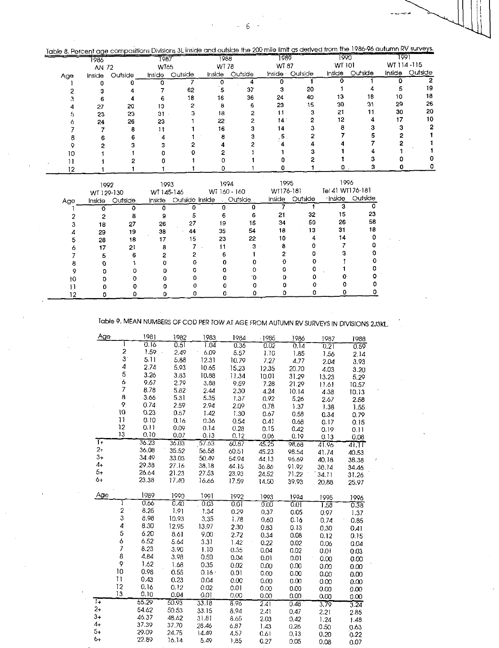فبأدوب ويواند

|  |  | Table 8. Percent age compositions Divisions 3L inside and outside the 200 mile limit as derived from the 1986-96 autumn RV survey… |
|--|--|------------------------------------------------------------------------------------------------------------------------------------|
|  |  | a kan di sebagai kan kan sebagai kan kan di sebagai kan di sebagai kan di sebagai kan kan di sebagai kan kan ka                    |

| 1986 |     |        |         | for the other top control<br>1988<br>1987 |                | 1989  |                | 1990  |                | 1991   |                |            |                |
|------|-----|--------|---------|-------------------------------------------|----------------|-------|----------------|-------|----------------|--------|----------------|------------|----------------|
|      |     | AN 72  |         | WT65                                      |                | WT 78 |                | WT 87 |                | WT 101 |                | WT 114-115 |                |
|      | Age | Inside | Outside |                                           | Inside Outside |       | Inside Outside |       | Inside Outside |        | Inside Outside |            | Inside Outside |
|      |     |        |         |                                           |                |       |                |       |                |        |                |            |                |
|      |     |        |         |                                           | 62             |       | 37             |       | 20             |        |                |            | 19             |
|      |     |        |         |                                           | 18             | 16    | 36             | 24    | 40             | 13     | 18             | 10         | 18             |
|      |     | 27     | 20      | 13                                        |                |       | Б              | 23    | 15             | 30     | 31             | 29         | 26             |
|      |     | 23     | 23      | $31$ .                                    |                | 18    |                |       |                | 21     | 11             | 30         | 20             |
|      |     | 24     | 26      | 23                                        |                | 22    |                | 4     |                | 12     |                |            | 10             |
|      |     |        |         |                                           |                | 16    |                |       |                |        |                |            |                |
|      |     |        |         |                                           |                |       |                |       |                |        |                |            |                |
|      |     |        |         |                                           |                |       |                |       |                |        |                |            |                |
|      |     |        |         |                                           |                |       |                |       |                |        |                |            |                |
|      |     |        |         |                                           |                |       |                |       |                |        |                |            |                |
|      |     |        |         |                                           |                |       |                |       |                |        |                |            |                |
|      |     |        |         |                                           |                |       |                |       |                |        |                |            |                |

|     | 1992       |                | 1993      |    | 1994                     |    |    | 1995           |    | 1996             |  |
|-----|------------|----------------|-----------|----|--------------------------|----|----|----------------|----|------------------|--|
|     | WT 129-130 |                | WT145-146 |    | WT 160 - 160             |    |    | WT176-181      |    | Tel 41 WT176-181 |  |
| Age |            | Inside Outside | Inside    |    | Outside Inside - Outside |    |    | Inside Outside |    | linside Outside  |  |
|     |            |                |           |    |                          |    |    |                |    |                  |  |
|     |            |                |           |    |                          |    | 21 | 32             | 15 | 23               |  |
|     | 18         | 27             | 26        | 27 | 19                       | 15 | 34 | 50             | 26 | 58               |  |
|     | 29         | 19             | 38        | 44 | 35                       | 54 | 18 | 13             | 31 | 18               |  |
|     | 28         | 18             | 17        | 15 | 23                       | 22 | 10 |                | 4  |                  |  |
|     | 17         | 21             |           |    | 11                       | я  |    |                |    |                  |  |
|     |            | в              |           |    |                          |    |    |                |    |                  |  |
|     |            |                |           |    |                          |    |    |                |    |                  |  |
|     |            |                |           |    |                          |    |    |                |    |                  |  |
| חו  |            |                |           |    |                          |    |    |                |    |                  |  |
|     |            |                |           |    |                          |    |    |                |    |                  |  |
|     |            |                |           |    |                          |    |    |                |    |                  |  |

Table 9. MEAN NUMBERS OF COD PER TOW AT AGE FROM AUTUMN RV SURVEYS IN DIVISIONS 2J3KL.

| Age             |                         | 1981  | 1982              | 1983         | 1984         | $-1985$           | 1986         | 1987         | 1988         |  |
|-----------------|-------------------------|-------|-------------------|--------------|--------------|-------------------|--------------|--------------|--------------|--|
|                 |                         | 0.16  | $\overline{0.51}$ | 1.04         | 0.36         | 0.02              | 0,14         | 0.21         | 0.59         |  |
|                 | $\overline{\mathbf{c}}$ | 1.59  | 2.49              | 6.09         | 5.57         | 7.70              | 1.85         | 1.56         | 2.14         |  |
|                 | $3^{\circ}$             | 5.11  | 5.88              | 12.31        | 10.79        | 7.27              | 4.77         | 2.04         | 3.93         |  |
|                 |                         | 2.74  | 5.93              | 10.65        | 15.23        | 12.35             | 20.70        | 4.03         | 3.20         |  |
|                 | 4<br>5                  | 3.26  | 3.83              | 10.88        | 11.34        | 10.01             | 31.29        | 13.23        | 5.29         |  |
|                 | 6                       | 9.67  | 2.79              | 3.88         | 9.59         | 7.28              | 21.29        | 11.61        | 10.57        |  |
|                 | 7                       | 8.78  | 5.82              | 2.44         | 2.30         | 4.24              | 10.14        | 4.38         | 10.13        |  |
|                 | 8                       | 3.66  | 5.31              | 5.35         | 1.37         | 0.92              | 5.26         | 2.67         | 2.58         |  |
|                 | 9                       | 0.74  | 2.59              | 2.94         | 2.09         | 0.78              | 1.37         | 1.38         | 1.55         |  |
|                 | 10                      | 0.23  | 0.57              | 1.42         | 1.30         | 0.67              | 0.58         | 0.34         | 0.79         |  |
|                 | 11                      | 0.10  | 0.16              | 0.36         | 0.54         | 0.41              | 0.68         | 0.17         | 0.15         |  |
|                 | 12                      | 0.11  | 0.09              | 0.14         | 0.28         | 0.15              | 0.42         | 0.19         | 0.11         |  |
|                 | 13                      | 0.10  | 0.07              | 0.13         | 0.12         | 0.06              | 0.19         | 0.13         | 0.08         |  |
| ΪŦ              |                         | 36.23 | 36.03             | 57.63        | 60.87        | 45.25             | 98.68        | 41.96        | 41.11        |  |
| $2+$            |                         | 36.08 | 35.52             | 56.58        | 60.51        | 45.23             | 98.54        | 41.74        | 40.53        |  |
| $3+$            |                         | 34.49 | 33.03             | 50.49        | 54.94        | 44.13             | 96.69        | 40.18        | 38.38        |  |
| $4+$            |                         | 29.38 | 27.16             | 38.18        | 44.15        | 36.86             | 91.92        | 38.14        | 34.46        |  |
| 5+              |                         | 26.64 | 21.23             | 27.53        | 23.93        | 24,52             | 71.22        | 34.11        | 31.26        |  |
| 6+              |                         | 23.38 | 17.40             | 16.66        | 17.59        | 14.50             | 39.93        | 20.88        | 25.97        |  |
| Age             |                         | 1989  | 1990              |              |              |                   |              |              |              |  |
|                 |                         | 0.66  | 0.40              | 1991         | 1992         | 1993              | 1994         | 1995         | 1996         |  |
|                 |                         | 8.25  | 1.91              | 0,03<br>1.34 | 0.01         | $\overline{0.00}$ | 0.01         | 1,58         | 0.38         |  |
|                 | $\frac{2}{3}$           | 8.98  | 10.93             | 3.35         | 0.29         | 0.37              | 0.05         | 0.97         | 1.37         |  |
|                 | 4                       | 8.30  | 12.95             | 13.97        | 1.78         | 0.60              | 0.16         | 0.74         | 0.85         |  |
|                 | 5                       | 6.20  | 8.61              | 9.00         | 2.30         | 0.83              | 0.13         | 0.30         | 0.41         |  |
|                 | $\ddot{\circ}$          | 6.52  | 5.64              | 3.31         | 272          | 0.34              | 0.08         | 0.12         | 0.15         |  |
|                 | $\overline{7}$          | 8.23  | 3.90              | 1.10         | 1.42<br>0.35 | 0.22              | 0.02         | 0.06         | 0.04         |  |
|                 | 8                       | 4.84  | 3.98              | 0.50         |              | 0.04              | 0.02         | 0.01         | 0.03         |  |
|                 | 9                       | 1.62  | 1.68              | 0.35         | 0.04<br>0.02 | 0.01              | 0.01         | 0.00         | 0.00         |  |
|                 | 10                      | 0.98  | 0.55              | $0.16 -$     |              | 0.00              | 0.00         | 0.00         | 0.00         |  |
|                 | Ħ                       | 0.43  | 0.23              | 0.04         | 0.01         | 0.00              | 0.00         | 0.00         | 0.00         |  |
|                 | 12                      | 0.16  | 0.12              | 0.02         | 0.00         | 0.00              | 0.00         | 0.00         | 0.00         |  |
|                 | 13                      | 0.10  | 0.04              | 0.01         | 0.01<br>0.00 | 0.00<br>0.00      | 0.00<br>0.00 | 0.00         | 0.00         |  |
| $\overline{1+}$ |                         | 55.29 | 50.93             | 33.18        | 8.96         | 241               | 0.48         | 0.00         | 0.00         |  |
| $2+$            |                         | 54.62 | 50.53             | 33.15        | 8.94         | 2.41              | 0,47         | 3,79         | 3.24         |  |
| $3+$            |                         | 46.37 | 48.62             | 31.81        | 8.65         | 2.03              | 0.42         | 2.21<br>1.24 | 2.85         |  |
| $4+$            |                         | 37.39 | 37.70             | 28.46        | 6.87         | 1.43              | 0.26         | 0.50         | 1.48<br>0.63 |  |
| $5+$            |                         | 29.09 | 24,75             | 14.49        | 4.57         | 0.61              | 0.13         | 0,20         |              |  |
| 6+              |                         | 22.89 | 16.14             | 5.49         | 1,85         | 0.27              | 0.05         | 0.08         | 0.22<br>0.07 |  |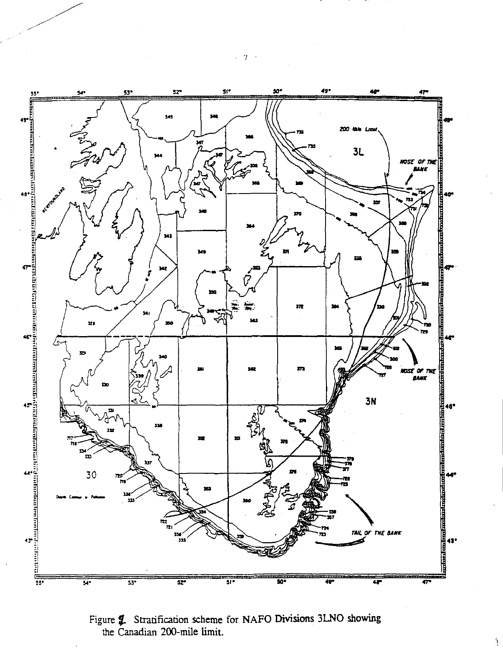

 $-7 -$ 

Figure *1*. Stratification scheme for NAFO Divisions 3LNO showing the Canadian 200-mile limit.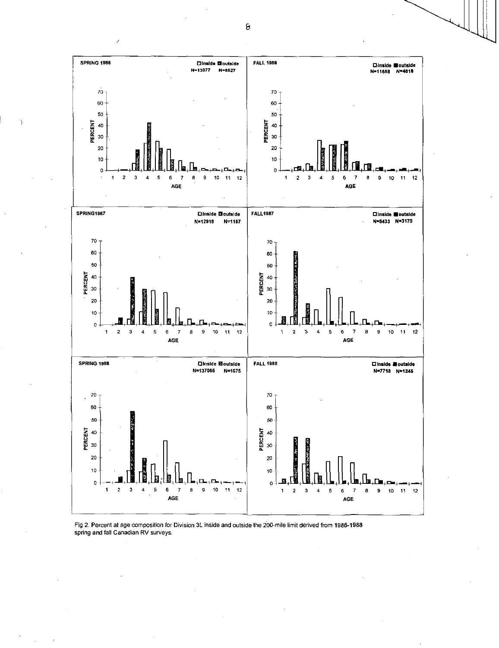

Fig 2. Percent at age composition for Division 3L inside and outside the 200-mile limit derived from 1986-1988 spring and fall Canadian RV surveys.

8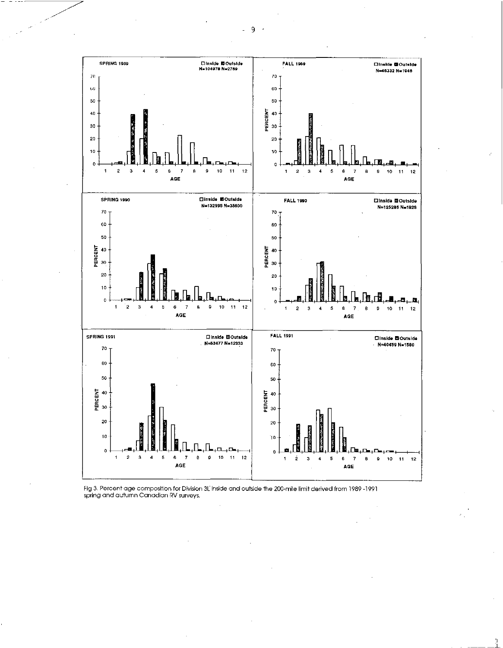



 $\mathbf{I}^+$ 

- 9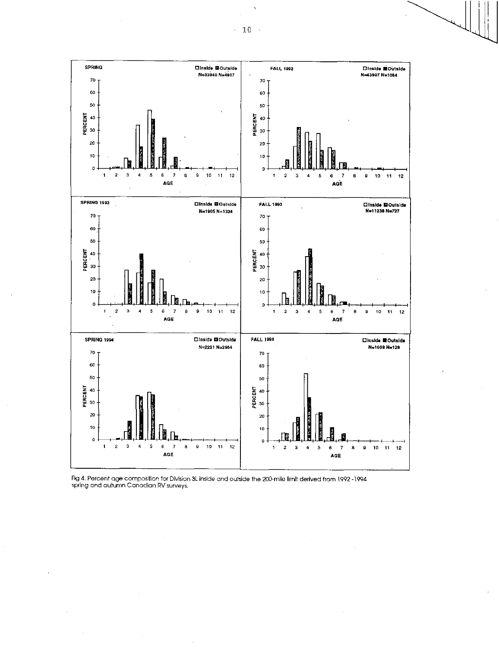$-10 -$ 



Fig 4. Percent age composition for Division 3L inside and outside the 200-mile limit derived from 1992-1994.<br>spring and autumn Canadian RV surveys.